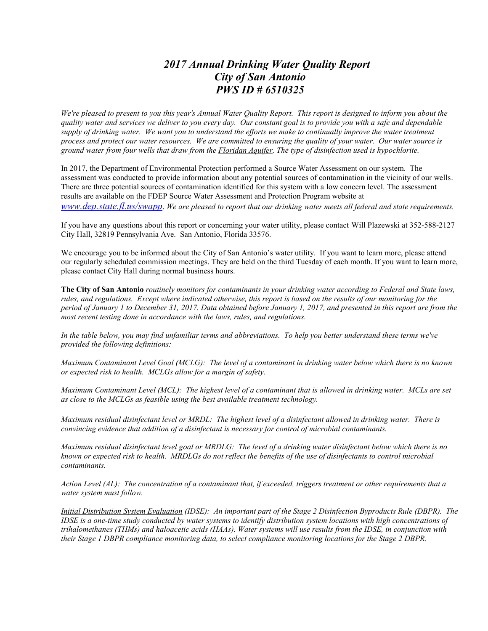## *2017 Annual Drinking Water Quality Report City of San Antonio PWS ID # 6510325*

*We're pleased to present to you this year's Annual Water Quality Report. This report is designed to inform you about the quality water and services we deliver to you every day. Our constant goal is to provide you with a safe and dependable supply of drinking water. We want you to understand the efforts we make to continually improve the water treatment process and protect our water resources. We are committed to ensuring the quality of your water. Our water source is ground water from four wells that draw from the Floridan Aquifer. The type of disinfection used is hypochlorite.*

In 2017, the Department of Environmental Protection performed a Source Water Assessment on our system. The assessment was conducted to provide information about any potential sources of contamination in the vicinity of our wells. There are three potential sources of contamination identified for this system with a low concern level. The assessment results are available on the FDEP Source Water Assessment and Protection Program website at *[www.dep.state.fl.us/swapp](http://www.dep.state.fl.us/swapp)*. *We are pleased to report that our drinking water meets all federal and state requirements.*

If you have any questions about this report or concerning your water utility, please contact Will Plazewski at 352-588-2127 City Hall, 32819 Pennsylvania Ave. San Antonio, Florida 33576.

We encourage you to be informed about the City of San Antonio's water utility. If you want to learn more, please attend our regularly scheduled commission meetings. They are held on the third Tuesday of each month. If you want to learn more, please contact City Hall during normal business hours.

**The City of San Antonio** *routinely monitors for contaminants in your drinking water according to Federal and State laws, rules, and regulations. Except where indicated otherwise, this report is based on the results of our monitoring for the period of January 1 to December 31, 2017. Data obtained before January 1, 2017, and presented in this report are from the most recent testing done in accordance with the laws, rules, and regulations.*

*In the table below, you may find unfamiliar terms and abbreviations. To help you better understand these terms we've provided the following definitions:*

*Maximum Contaminant Level Goal (MCLG): The level of a contaminant in drinking water below which there is no known or expected risk to health. MCLGs allow for a margin of safety.*

*Maximum Contaminant Level (MCL): The highest level of a contaminant that is allowed in drinking water. MCLs are set as close to the MCLGs as feasible using the best available treatment technology.*

*Maximum residual disinfectant level or MRDL: The highest level of a disinfectant allowed in drinking water. There is convincing evidence that addition of a disinfectant is necessary for control of microbial contaminants.*

*Maximum residual disinfectant level goal or MRDLG: The level of a drinking water disinfectant below which there is no known or expected risk to health. MRDLGs do not reflect the benefits of the use of disinfectants to control microbial contaminants.*

*Action Level (AL): The concentration of a contaminant that, if exceeded, triggers treatment or other requirements that a water system must follow.*

*Initial Distribution System Evaluation (IDSE): An important part of the Stage 2 Disinfection Byproducts Rule (DBPR). The IDSE is a one-time study conducted by water systems to identify distribution system locations with high concentrations of trihalomethanes (THMs) and haloacetic acids (HAAs). Water systems will use results from the IDSE, in conjunction with their Stage 1 DBPR compliance monitoring data, to select compliance monitoring locations for the Stage 2 DBPR.*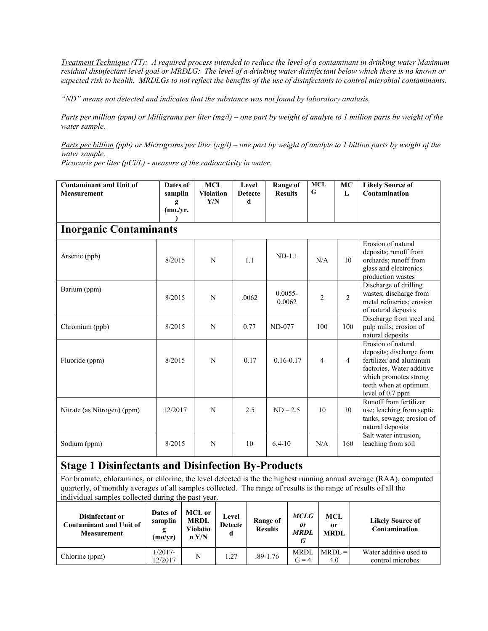*Treatment Technique (TT): A required process intended to reduce the level of a contaminant in drinking water Maximum residual disinfectant level goal or MRDLG: The level of a drinking water disinfectant below which there is no known or expected risk to health. MRDLGs to not reflect the benefits of the use of disinfectants to control microbial contaminants.*

*"ND" means not detected and indicates that the substance was not found by laboratory analysis.*

*Parts per million (ppm) or Milligrams per liter (mg/l) – one part by weight of analyte to 1 million parts by weight of the water sample.*

*Parts per billion (ppb) or Micrograms per liter (µg/l) – one part by weight of analyte to 1 billion parts by weight of the water sample.*

*Picocurie per liter (pCi/L) - measure of the radioactivity in water.*

| <b>Contaminant and Unit of</b><br><b>Measurement</b> | Dates of<br>samplin<br>g<br>(mo./vr. | <b>MCL</b><br><b>Violation</b><br>Y/N | Level<br><b>Detecte</b><br>d | <b>Range of</b><br><b>Results</b> | <b>MCL</b><br>G | MC<br>L        | <b>Likely Source of</b><br>Contamination                                                                                                                                     |
|------------------------------------------------------|--------------------------------------|---------------------------------------|------------------------------|-----------------------------------|-----------------|----------------|------------------------------------------------------------------------------------------------------------------------------------------------------------------------------|
| <b>Inorganic Contaminants</b>                        |                                      |                                       |                              |                                   |                 |                |                                                                                                                                                                              |
| Arsenic (ppb)                                        | 8/2015                               | N                                     | 1.1                          | $ND-1.1$                          | N/A             | 10             | Erosion of natural<br>deposits; runoff from<br>orchards; runoff from<br>glass and electronics<br>production wastes                                                           |
| Barium (ppm)                                         | 8/2015                               | N                                     | .0062                        | $0.0055 -$<br>0.0062              | $\overline{c}$  | $\overline{c}$ | Discharge of drilling<br>wastes; discharge from<br>metal refineries; erosion<br>of natural deposits                                                                          |
| Chromium (ppb)                                       | 8/2015                               | N                                     | 0.77                         | ND-077                            | 100             | 100            | Discharge from steel and<br>pulp mills; erosion of<br>natural deposits                                                                                                       |
| Fluoride (ppm)                                       | 8/2015                               | N                                     | 0.17                         | $0.16 - 0.17$                     | $\overline{4}$  | 4              | Erosion of natural<br>deposits; discharge from<br>fertilizer and aluminum<br>factories. Water additive<br>which promotes strong<br>teeth when at optimum<br>level of 0.7 ppm |
| Nitrate (as Nitrogen) (ppm)                          | 12/2017                              | N                                     | 2.5                          | $ND - 2.5$                        | 10              | 10             | Runoff from fertilizer<br>use; leaching from septic<br>tanks, sewage; erosion of<br>natural deposits                                                                         |
| Sodium (ppm)                                         | 8/2015                               | N                                     | 10                           | $6.4 - 10$                        | N/A             | 160            | Salt water intrusion,<br>leaching from soil                                                                                                                                  |

## **Stage 1 Disinfectants and Disinfection By-Products**

For bromate, chloramines, or chlorine, the level detected is the the highest running annual average (RAA), computed quarterly, of monthly averages of all samples collected. The range of results is the range of results of all the individual samples collected during the past year.

| Disinfectant or<br><b>Contaminant and Unit of</b><br><b>Measurement</b> | Dates of<br>samplin<br>(mo/yr) | <b>MCL</b> or<br><b>MRDL</b><br>Violatio<br>n Y/N | Level<br><b>Detecte</b> | Range of<br><b>Results</b> | <b>MCLG</b><br><i>or</i><br><b>MRDL</b><br>G | <b>MCL</b><br>0r<br><b>MRDL</b> | <b>Likely Source of</b><br>Contamination   |
|-------------------------------------------------------------------------|--------------------------------|---------------------------------------------------|-------------------------|----------------------------|----------------------------------------------|---------------------------------|--------------------------------------------|
| Chlorine (ppm)                                                          | 1/2017-<br>12/2017             | N                                                 | 1.27                    | $.89 - 1.76$               | <b>MRDL</b><br>$G = 4$                       | $MRDL =$<br>4.0                 | Water additive used to<br>control microbes |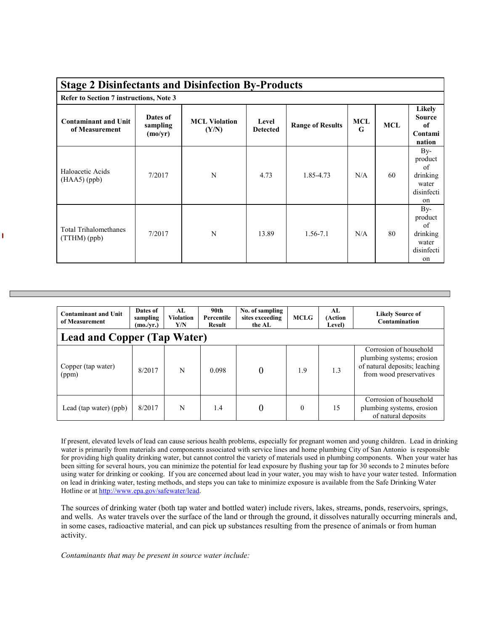| <b>Stage 2 Disinfectants and Disinfection By-Products</b> |                                 |                               |                          |                         |          |            |                                                                            |  |  |
|-----------------------------------------------------------|---------------------------------|-------------------------------|--------------------------|-------------------------|----------|------------|----------------------------------------------------------------------------|--|--|
| Refer to Section 7 instructions, Note 3                   |                                 |                               |                          |                         |          |            |                                                                            |  |  |
| <b>Contaminant and Unit</b><br>of Measurement             | Dates of<br>sampling<br>(mo/yr) | <b>MCL Violation</b><br>(Y/N) | Level<br><b>Detected</b> | <b>Range of Results</b> | MCL<br>G | <b>MCL</b> | Likely<br><b>Source</b><br>of<br>Contami<br>nation                         |  |  |
| Haloacetic Acids<br>$(HAA5)$ (ppb)                        | 7/2017                          | N                             | 4.73                     | 1.85-4.73               | N/A      | 60         | $By-$<br>product<br>of<br>drinking<br>water<br>disinfecti<br><sub>on</sub> |  |  |
| <b>Total Trihalomethanes</b><br>(TTHM)(ppb)               | 7/2017                          | N                             | 13.89                    | $1.56 - 7.1$            | N/A      | 80         | $By-$<br>product<br>of<br>drinking<br>water<br>disinfecti<br>on            |  |  |

| <b>Contaminant and Unit</b><br>of Measurement | Dates of<br>sampling<br>(mo./vr.) | AI.<br><b>Violation</b><br>Y/N | 90 <sub>th</sub><br>Percentile<br>Result | No. of sampling<br>sites exceeding<br>the AL | <b>MCLG</b> | AL<br>(Action<br>Level) | <b>Likely Source of</b><br>Contamination                                                                        |  |  |
|-----------------------------------------------|-----------------------------------|--------------------------------|------------------------------------------|----------------------------------------------|-------------|-------------------------|-----------------------------------------------------------------------------------------------------------------|--|--|
| <b>Lead and Copper (Tap Water)</b>            |                                   |                                |                                          |                                              |             |                         |                                                                                                                 |  |  |
| Copper (tap water)<br>(ppm)                   | 8/2017                            | N                              | 0.098                                    | $\overline{0}$                               | 1.9         | 1.3                     | Corrosion of household<br>plumbing systems; erosion<br>of natural deposits; leaching<br>from wood preservatives |  |  |
| Lead (tap water) (ppb)                        | 8/2017                            | N                              | 1.4                                      | 0                                            | $\Omega$    | 15                      | Corrosion of household<br>plumbing systems, erosion<br>of natural deposits                                      |  |  |

If present, elevated levels of lead can cause serious health problems, especially for pregnant women and young children. Lead in drinking water is primarily from materials and components associated with service lines and home plumbing City of San Antonio is responsible for providing high quality drinking water, but cannot control the variety of materials used in plumbing components. When your water has been sitting for several hours, you can minimize the potential for lead exposure by flushing your tap for 30 seconds to 2 minutes before using water for drinking or cooking. If you are concerned about lead in your water, you may wish to have your water tested. Information on lead in drinking water, testing methods, and steps you can take to minimize exposure is available from the Safe Drinking Water Hotline or a[t http://www.epa.gov/safewater/lead.](http://www.epa.gov/safewater/lead)

The sources of drinking water (both tap water and bottled water) include rivers, lakes, streams, ponds, reservoirs, springs, and wells. As water travels over the surface of the land or through the ground, it dissolves naturally occurring minerals and, in some cases, radioactive material, and can pick up substances resulting from the presence of animals or from human activity.

*Contaminants that may be present in source water include:*